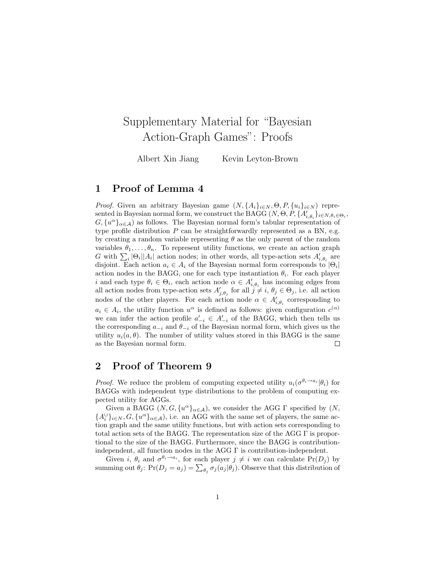## Supplementary Material for "Bayesian Action-Graph Games": Proofs

Albert Xin Jiang Kevin Leyton-Brown

## 1 Proof of Lemma 4

*Proof.* Given an arbitrary Bayesian game  $(N, \{A_i\}_{i\in N}, \Theta, P, \{u_i\}_{i\in N})$  represented in Bayesian normal form, we construct the BAGG  $(N, \Theta, P, \{A'_{i,\theta_i}\}_{i \in N, \theta_i \in \Theta_i},$  $G, \{u^{\alpha}\}_{{\alpha}\in\mathcal{A}}\}$  as follows. The Bayesian normal form's tabular representation of type profile distribution  $P$  can be straightforwardly represented as a BN, e.g. by creating a random variable representing  $\theta$  as the only parent of the random variables  $\theta_1, \ldots, \theta_n$ . To represent utility functions, we create an action graph G with  $\sum_i |\Theta_i||A_i|$  action nodes; in other words, all type-action sets  $A'_{i,\theta_i}$  are disjoint. Each action  $a_i \in A_i$  of the Bayesian normal form corresponds to  $|\Theta_i|$ action nodes in the BAGG, one for each type instantiation  $\theta_i$ . For each player i and each type  $\theta_i \in \Theta_i$ , each action node  $\alpha \in A'_{i,\theta_i}$  has incoming edges from all action nodes from type-action sets  $A'_{j,\theta_j}$  for all  $j \neq i$ ,  $\theta_j \in \Theta_j$ , i.e. all action nodes of the other players. For each action node  $\alpha \in A'_{i, \theta_i}$  corresponding to  $a_i \in A_i$ , the utility function  $u^{\alpha}$  is defined as follows: given configuration  $c^{(\alpha)}$ we can infer the action profile  $a'_{-i} \in A'_{-i}$  of the BAGG, which then tells us the corresponding  $a_{-i}$  and  $\theta_{-i}$  of the Bayesian normal form, which gives us the utility  $u_i(a, \theta)$ . The number of utility values stored in this BAGG is the same as the Bayesian normal form.  $\Box$ 

## 2 Proof of Theorem 9

*Proof.* We reduce the problem of computing expected utility  $u_i(\sigma^{\theta_i \to a_i}|\theta_i)$  for BAGGs with independent type distributions to the problem of computing expected utility for AGGs.

Given a BAGG  $(N, G, \{u^{\alpha}\}_{{\alpha}\in{\mathcal{A}}})$ , we consider the AGG  $\Gamma$  specified by  $(N,$  ${A_i \cup \brace i \in N, G, \lbrace u^\alpha \rbrace_{\alpha \in \mathcal{A}}}$ , i.e. an AGG with the same set of players, the same action graph and the same utility functions, but with action sets corresponding to total action sets of the BAGG. The representation size of the AGG Γ is proportional to the size of the BAGG. Furthermore, since the BAGG is contributionindependent, all function nodes in the AGG  $\Gamma$  is contribution-independent.

Given i,  $\theta_i$  and  $\sigma^{\theta_i \to a_i}$ , for each player  $j \neq i$  we can calculate  $Pr(D_j)$  by summing out  $\theta_j$ : Pr( $D_j = a_j$ ) =  $\sum_{\theta_j} \sigma_j(a_j|\theta_j)$ . Observe that this distribution of